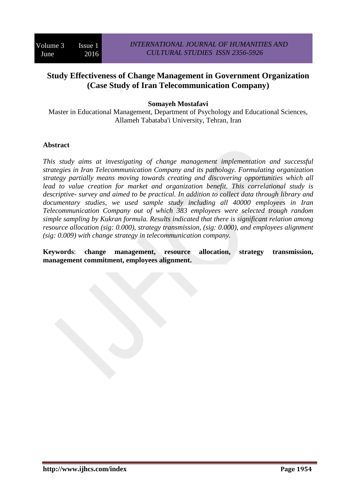# **Study Effectiveness of Change Management in Government Organization (Case Study of Iran Telecommunication Company)**

### **Somayeh Mostafavi**

Master in Educational Management, Department of Psychology and Educational Sciences, Allameh Tabataba'i University, Tehran, Iran

#### **Abstract**

*This study aims at investigating of change management implementation and successful strategies in Iran Telecommunication Company and its pathology. Formulating organization strategy partially means moving towards creating and discovering opportunities which all lead to value creation for market and organization benefit. This correlational study is descriptive- survey and aimed to be practical. In addition to collect data through library and documentary studies, we used sample study including all 40000 employees in Iran Telecommunication Company out of which 383 employees were selected trough random simple sampling by Kukran formula. Results indicated that there is significant relation among resource allocation (sig: 0.000), strategy transmission, (sig: 0.000), and employees alignment (sig: 0.009) with change strategy in telecommunication company.*

**Keywords**: **change management, resource allocation, strategy transmission, management commitment, employees alignment.**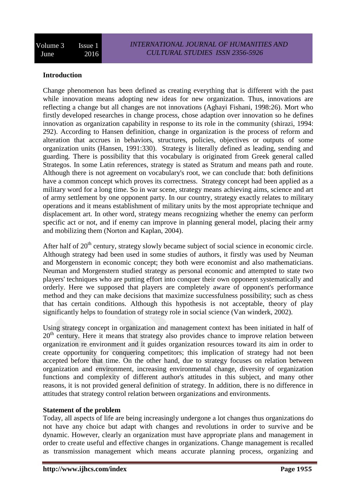# **Introduction**

Change phenomenon has been defined as creating everything that is different with the past while innovation means adopting new ideas for new organization. Thus, innovations are reflecting a change but all changes are not innovations (Aghayi Fishani, 1998:26). Mort who firstly developed researches in change process, chose adaption over innovation so he defines innovation as organization capability in response to its role in the community (shirazi, 1994: 292). According to Hansen definition, change in organization is the process of reform and alteration that accrues in behaviors, structures, policies, objectives or outputs of some organization units (Hansen, 1991:330). Strategy is literally defined as leading, sending and guarding. There is possibility that this vocabulary is originated from Greek general called Strategos. In some Latin references, strategy is stated as Stratum and means path and route. Although there is not agreement on vocabulary's root, we can conclude that: both definitions have a common concept which proves its correctness. Strategy concept had been applied as a military word for a long time. So in war scene, strategy means achieving aims, science and art of army settlement by one opponent party. In our country, strategy exactly relates to military operations and it means establishment of military units by the most appropriate technique and displacement art. In other word, strategy means recognizing whether the enemy can perform specific act or not, and if enemy can improve in planning general model, placing their army and mobilizing them (Norton and Kaplan, 2004).

After half of  $20<sup>th</sup>$  century, strategy slowly became subject of social science in economic circle. Although strategy had been used in some studies of authors, it firstly was used by Neuman and Morgenstern in economic concept; they both were economist and also mathematicians. Neuman and Morgenstern studied strategy as personal economic and attempted to state two players' techniques who are putting effort into conquer their own opponent systematically and orderly. Here we supposed that players are completely aware of opponent's performance method and they can make decisions that maximize successfulness possibility; such as chess that has certain conditions. Although this hypothesis is not acceptable, theory of play significantly helps to foundation of strategy role in social science (Van winderk, 2002).

Using strategy concept in organization and management context has been initiated in half of  $20<sup>th</sup>$  century. Here it means that strategy also provides chance to improve relation between organization re environment and it guides organization resources toward its aim in order to create opportunity for conquering competitors; this implication of strategy had not been accepted before that time. On the other hand, due to strategy focuses on relation between organization and environment, increasing environmental change, diversity of organization functions and complexity of different author's attitudes in this subject, and many other reasons, it is not provided general definition of strategy. In addition, there is no difference in attitudes that strategy control relation between organizations and environments.

### **Statement of the problem**

Today, all aspects of life are being increasingly undergone a lot changes thus organizations do not have any choice but adapt with changes and revolutions in order to survive and be dynamic. However, clearly an organization must have appropriate plans and management in order to create useful and effective changes in organizations. Change management is recalled as transmission management which means accurate planning process, organizing and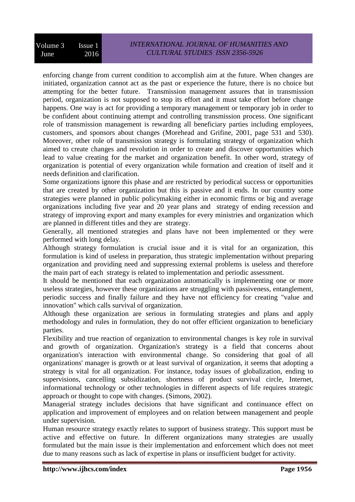enforcing change from current condition to accomplish aim at the future. When changes are initiated, organization cannot act as the past or experience the future, there is no choice but attempting for the better future. Transmission management assures that in transmission period, organization is not supposed to stop its effort and it must take effort before change happens. One way is act for providing a temporary management or temporary job in order to be confident about continuing attempt and controlling transmission process. One significant role of transmission management is rewarding all beneficiary parties including employees, customers, and sponsors about changes (Morehead and Grifine, 2001, page 531 and 530). Moreover, other role of transmission strategy is formulating strategy of organization which aimed to create changes and revolution in order to create and discover opportunities which lead to value creating for the market and organization benefit. In other word, strategy of organization is potential of every organization while formation and creation of itself and it needs definition and clarification.

Some organizations ignore this phase and are restricted by periodical success or opportunities that are created by other organization but this is passive and it ends. In our country some strategies were planned in public policymaking either in economic firms or big and average organizations including five year and 20 year plans and strategy of ending recession and strategy of improving export and many examples for every ministries and organization which are planned in different titles and they are strategy.

Generally, all mentioned strategies and plans have not been implemented or they were performed with long delay.

Although strategy formulation is crucial issue and it is vital for an organization, this formulation is kind of useless in preparation, thus strategic implementation without preparing organization and providing need and suppressing external problems is useless and therefore the main part of each strategy is related to implementation and periodic assessment.

It should be mentioned that each organization automatically is implementing one or more useless strategies, however these organizations are struggling with passiveness, entanglement, periodic success and finally failure and they have not efficiency for creating "value and innovation" which calls survival of organization.

Although these organization are serious in formulating strategies and plans and apply methodology and rules in formulation, they do not offer efficient organization to beneficiary parties.

Flexibility and true reaction of organization to environmental changes is key role in survival and growth of organization. Organization's strategy is a field that concerns about organization's interaction with environmental change. So considering that goal of all organizations' manager is growth or at least survival of organization, it seems that adopting a strategy is vital for all organization. For instance, today issues of globalization, ending to supervisions, cancelling subsidization, shortness of product survival circle, Internet, informational technology or other technologies in different aspects of life requires strategic approach or thought to cope with changes. (Simons, 2002).

Managerial strategy includes decisions that have significant and continuance effect on application and improvement of employees and on relation between management and people under supervision.

Human resource strategy exactly relates to support of business strategy. This support must be active and effective on future. In different organizations many strategies are usually formulated but the main issue is their implementation and enforcement which does not meet due to many reasons such as lack of expertise in plans or insufficient budget for activity.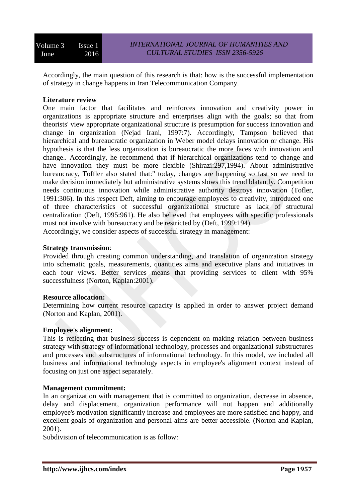Accordingly, the main question of this research is that: how is the successful implementation of strategy in change happens in Iran Telecommunication Company.

# **Literature review**

One main factor that facilitates and reinforces innovation and creativity power in organizations is appropriate structure and enterprises align with the goals; so that from theorists' view appropriate organizational structure is presumption for success innovation and change in organization (Nejad Irani, 1997:7). Accordingly, Tampson believed that hierarchical and bureaucratic organization in Weber model delays innovation or change. His hypothesis is that the less organization is bureaucratic the more faces with innovation and change.. Accordingly, he recommend that if hierarchical organizations tend to change and have innovation they must be more flexible (Shirazi:297,1994). About administrative bureaucracy, Toffler also stated that:" today, changes are happening so fast so we need to make decision immediately but administrative systems slows this trend blatantly. Competition needs continuous innovation while administrative authority destroys innovation (Tofler, 1991:306). In this respect Deft, aiming to encourage employees to creativity, introduced one of three characteristics of successful organizational structure as lack of structural centralization (Deft, 1995:961). He also believed that employees with specific professionals must not involve with bureaucracy and be restricted by (Deft, 1999:194).

Accordingly, we consider aspects of successful strategy in management:

### **Strategy transmission**:

Provided through creating common understanding, and translation of organization strategy into schematic goals, measurements, quantities aims and executive plans and initiatives in each four views. Better services means that providing services to client with 95% successfulness (Norton, Kaplan:2001).

### **Resource allocation:**

Determining how current resource capacity is applied in order to answer project demand (Norton and Kaplan, 2001).

### **Employee's alignment:**

This is reflecting that business success is dependent on making relation between business strategy with strategy of informational technology, processes and organizational substructures and processes and substructures of informational technology. In this model, we included all business and informational technology aspects in employee's alignment context instead of focusing on just one aspect separately.

### **Management commitment:**

In an organization with management that is committed to organization, decrease in absence, delay and displacement, organization performance will not happen and additionally employee's motivation significantly increase and employees are more satisfied and happy, and excellent goals of organization and personal aims are better accessible. (Norton and Kaplan, 2001).

Subdivision of telecommunication is as follow: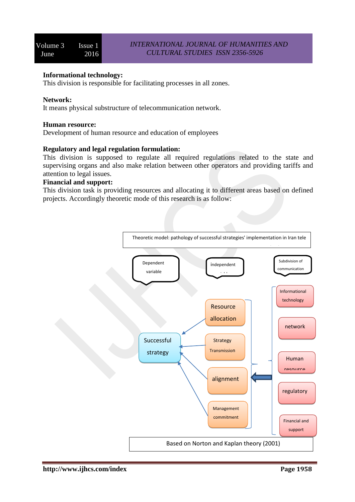### **Informational technology:**

This division is responsible for facilitating processes in all zones.

### **Network:**

It means physical substructure of telecommunication network.

### **Human resource:**

Development of human resource and education of employees

### **Regulatory and legal regulation formulation:**

This division is supposed to regulate all required regulations related to the state and supervising organs and also make relation between other operators and providing tariffs and attention to legal issues.

### **Financial and support:**

This division task is providing resources and allocating it to different areas based on defined projects. Accordingly theoretic mode of this research is as follow:

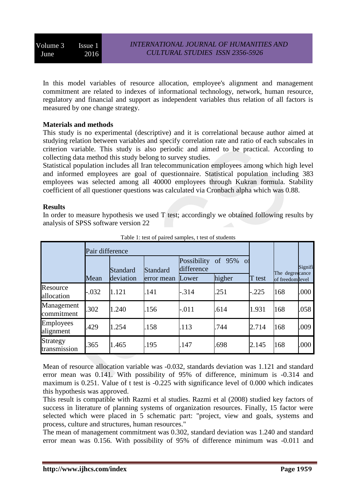In this model variables of resource allocation, employee's alignment and management commitment are related to indexes of informational technology, network, human resource, regulatory and financial and support as independent variables thus relation of all factors is measured by one change strategy.

### **Materials and methods**

This study is no experimental (descriptive) and it is correlational because author aimed at studying relation between variables and specify correlation rate and ratio of each subscales in criterion variable. This study is also periodic and aimed to be practical. According to collecting data method this study belong to survey studies.

Statistical population includes all Iran telecommunication employees among which high level and informed employees are goal of questionnaire. Statistical population including 383 employees was selected among all 40000 employees through Kukran formula. Stability coefficient of all questioner questions was calculated via Cronbach alpha which was 0.88.

### **Results**

In order to measure hypothesis we used  $T$  test; accordingly we obtained following results by analysis of SPSS software version 22

|                          | Pair difference |                       |                        |                                    |                     |         |                                    |         |
|--------------------------|-----------------|-----------------------|------------------------|------------------------------------|---------------------|---------|------------------------------------|---------|
|                          | Mean            | Standard<br>deviation | Standard<br>error mean | Possibility<br>difference<br>Lower | of 95% of<br>higher | T test  | The degreecance<br>of freedomlevel | Signifi |
| Resource<br>allocation   | $-.032$         | 1.121                 | .141                   | $-.314$                            | .251                | $-.225$ | 168                                | .000    |
| Management<br>commitment | .302            | 1.240                 | .156                   | $-.011$                            | .614                | 1.931   | 168                                | .058    |
| Employees<br>alignment   | 429             | 1.254                 | .158                   | .113                               | .744                | 2.714   | 168                                | .009    |
| Strategy<br>transmission | 365             | 1.465                 | .195                   | .147                               | .698                | 2.145   | 168                                | .000    |

| Table 1: test of paired samples, t test of students |
|-----------------------------------------------------|
|-----------------------------------------------------|

Mean of resource allocation variable was -0.032, standards deviation was 1.121 and standard error mean was 0.141. With possibility of 95% of difference, minimum is -0.314 and maximum is 0.251. Value of t test is -0.225 with significance level of 0.000 which indicates this hypothesis was approved.

This result is compatible with Razmi et al studies. Razmi et al (2008) studied key factors of success in literature of planning systems of organization resources. Finally, 15 factor were selected which were placed in 5 schematic part: "project, view and goals, systems and process, culture and structures, human resources."

The mean of management commitment was 0.302, standard deviation was 1.240 and standard error mean was 0.156. With possibility of 95% of difference minimum was -0.011 and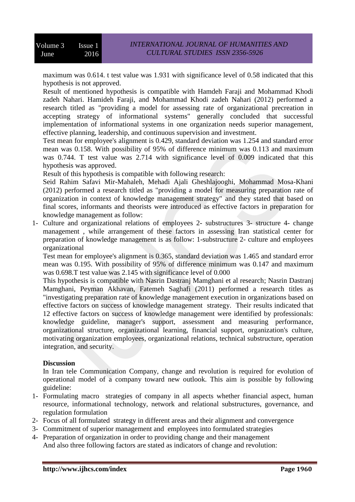maximum was 0.614. t test value was 1.931 with significance level of 0.58 indicated that this hypothesis is not approved.

Result of mentioned hypothesis is compatible with Hamdeh Faraji and Mohammad Khodi zadeh Nahari. Hamideh Faraji, and Mohammad Khodi zadeh Nahari (2012) performed a research titled as "providing a model for assessing rate of organizational precreation in accepting strategy of informational systems" generally concluded that successful implementation of informational systems in one organization needs superior management, effective planning, leadership, and continuous supervision and investment.

Test mean for employee's alignment is 0.429, standard deviation was 1.254 and standard error mean was 0.158. With possibility of 95% of difference minimum was 0.113 and maximum was 0.744. T test value was 2.714 with significance level of 0.009 indicated that this hypothesis was approved.

Result of this hypothesis is compatible with following research:

Seid Rahim Safavi Mir-Mahaleh, Mehadi Ajali Gheshlajooghi, Mohammad Mosa-Khani (2012) performed a research titled as "providing a model for measuring preparation rate of organization in context of knowledge management strategy" and they stated that based on final scores, informants and theorists were introduced as effective factors in preparation for knowledge management as follow:

1- Culture and organizational relations of employees 2- substructures 3- structure 4- change management , while arrangement of these factors in assessing Iran statistical center for preparation of knowledge management is as follow: 1-substructure 2- culture and employees organizational

Test mean for employee's alignment is 0.365, standard deviation was 1.465 and standard error mean was 0.195. With possibility of 95% of difference minimum was 0.147 and maximum was 0.698.T test value was 2.145 with significance level of 0.000

This hypothesis is compatible with Nasrin Dastranj Mamghani et al research; Nasrin Dastranj Mamghani, Peyman Akhavan, Fatemeh Saghafi (2011) performed a research titles as "investigating preparation rate of knowledge management execution in organizations based on effective factors on success of knowledge management strategy. Their results indicated that 12 effective factors on success of knowledge management were identified by professionals: knowledge guideline, manager's support, assessment and measuring performance, organizational structure, organizational learning, financial support, organization's culture, motivating organization employees, organizational relations, technical substructure, operation integration, and security.

# **Discussion**

In Iran tele Communication Company, change and revolution is required for evolution of operational model of a company toward new outlook. This aim is possible by following guideline:

- 1- Formulating macro strategies of company in all aspects whether financial aspect, human resource, informational technology, network and relational substructures, governance, and regulation formulation
- 2- Focus of all formulated strategy in different areas and their alignment and convergence
- 3- Commitment of superior management and employees into formulated strategies
- 4- Preparation of organization in order to providing change and their management And also three following factors are stated as indicators of change and revolution: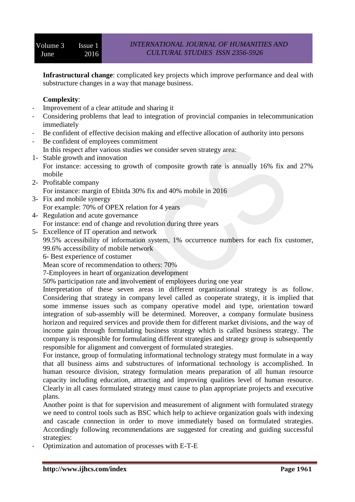**Infrastructural change**: complicated key projects which improve performance and deal with substructure changes in a way that manage business.

# **Complexity**:

- Improvement of a clear attitude and sharing it
- Considering problems that lead to integration of provincial companies in telecommunication immediately
- Be confident of effective decision making and effective allocation of authority into persons
- Be confident of employees commitment
- In this respect after various studies we consider seven strategy area:
- 1- Stable growth and innovation For instance: accessing to growth of composite growth rate is annually 16% fix and 27% mobile
- 2- Profitable company For instance: margin of Ebitda 30% fix and 40% mobile in 2016
- 3- Fix and mobile synergy For example: 70% of OPEX relation for 4 years
- 4- Regulation and acute governance For instance: end of change and revolution during three years
- 5- Excellence of IT operation and network

99.5% accessibility of information system, 1% occurrence numbers for each fix customer, 99.6% accessibility of mobile network

6- Best experience of costumer

Mean score of recommendation to others: 70%

7-Employees in heart of organization development

50% participation rate and involvement of employees during one year

Interpretation of these seven areas in different organizational strategy is as follow. Considering that strategy in company level called as cooperate strategy, it is implied that some immense issues such as company operative model and type, orientation toward integration of sub-assembly will be determined. Moreover, a company formulate business horizon and required services and provide them for different market divisions, and the way of income gain through formulating business strategy which is called business strategy. The company is responsible for formulating different strategies and strategy group is subsequently responsible for alignment and convergent of formulated strategies.

For instance, group of formulating informational technology strategy must formulate in a way that all business aims and substructures of informational technology is accomplished. In human resource division, strategy formulation means preparation of all human resource capacity including education, attracting and improving qualities level of human resource. Clearly in all cases formulated strategy must cause to plan appropriate projects and executive plans.

Another point is that for supervision and measurement of alignment with formulated strategy we need to control tools such as BSC which help to achieve organization goals with indexing and cascade connection in order to move immediately based on formulated strategies. Accordingly following recommendations are suggested for creating and guiding successful strategies:

- Optimization and automation of processes with E-T-E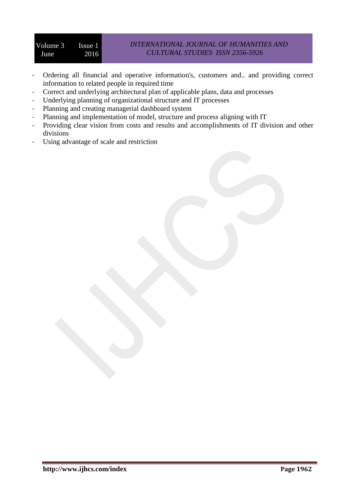- Ordering all financial and operative information's, customers and.. and providing correct information to related people in required time
- Correct and underlying architectural plan of applicable plans, data and processes
- Underlying planning of organizational structure and IT processes
- Planning and creating managerial dashboard system
- Planning and implementation of model, structure and process aligning with IT
- Providing clear vision from costs and results and accomplishments of IT division and other divisions
- Using advantage of scale and restriction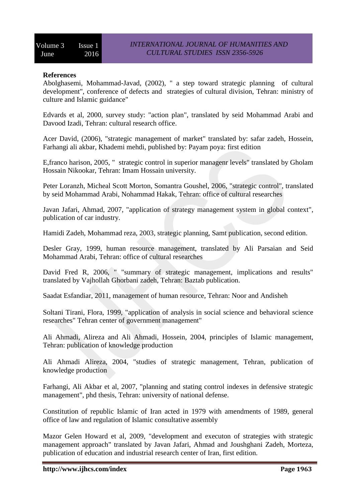### **References**

Abolghasemi, Mohammad-Javad, (2002), " a step toward strategic planning of cultural development", conference of defects and strategies of cultural division, Tehran: ministry of culture and Islamic guidance"

Edvards et al, 2000, survey study: "action plan", translated by seid Mohammad Arabi and Davood Izadi, Tehran: cultural research office.

Acer David, (2006), "strategic management of market" translated by: safar zadeh, Hossein, Farhangi ali akbar, Khademi mehdi, published by: Payam poya: first edition

E,franco harison, 2005, " strategic control in superior managenr levels" translated by Gholam Hossain Nikookar, Tehran: Imam Hossain university.

Peter Loranzh, Micheal Scott Morton, Somantra Goushel, 2006, "strategic control", translated by seid Mohammad Arabi, Nohammad Hakak, Tehran: office of cultural researches

Javan Jafari, Ahmad, 2007, "application of strategy management system in global context", publication of car industry.

Hamidi Zadeh, Mohammad reza, 2003, strategic planning, Samt publication, second edition.

Desler Gray, 1999, human resource management, translated by Ali Parsaian and Seid Mohammad Arabi, Tehran: office of cultural researches

David Fred R, 2006, " "summary of strategic management, implications and results" translated by Vajhollah Ghorbani zadeh, Tehran: Baztab publication.

Saadat Esfandiar, 2011, management of human resource, Tehran: Noor and Andisheh

Soltani Tirani, Flora, 1999, "application of analysis in social science and behavioral science researches" Tehran center of government management"

Ali Ahmadi, Alireza and Ali Ahmadi, Hossein, 2004, principles of Islamic management, Tehran: publication of knowledge production

Ali Ahmadi Alireza, 2004, "studies of strategic management, Tehran, publication of knowledge production

Farhangi, Ali Akbar et al, 2007, "planning and stating control indexes in defensive strategic management", phd thesis, Tehran: university of national defense.

Constitution of republic Islamic of Iran acted in 1979 with amendments of 1989, general office of law and regulation of Islamic consultative assembly

Mazor Gelen Howard et al, 2009, "development and executon of strategies with strategic management approach" translated by Javan Jafari, Ahmad and Joushghani Zadeh, Morteza, publication of education and industrial research center of Iran, first edition.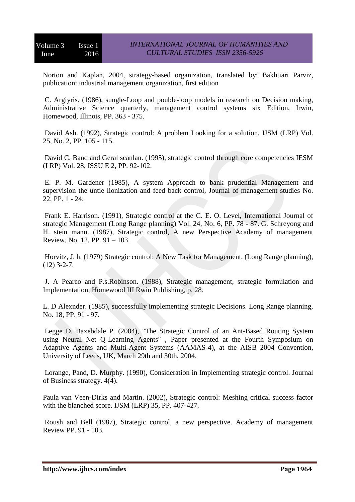Norton and Kaplan, 2004, strategy-based organization, translated by: Bakhtiari Parviz, publication: industrial management organization, first edition

C. Argiyris. (1986), sungle-Loop and pouble-loop models in research on Decision making, Administrative Science quarterly, management control systems six Edition, Irwin, Homewood, Illinois, PP. 363 - 375.

David Ash. (1992), Strategic control: A problem Looking for a solution, IJSM (LRP) Vol. 25, No. 2, PP. 105 - 115.

David C. Band and Geral scanlan. (1995), strategic control through core competencies IESM (LRP) Vol. 28, ISSU E 2, PP. 92-102.

E. P. M. Gardener (1985), A system Approach to bank prudential Management and supervision the untie lionization and feed back control, Journal of management studies No. 22, PP. 1 - 24.

Frank E. Harrison. (1991), Strategic control at the C. E. O. Level, International Journal of strategic Management (Long Range planning) Vol. 24, No. 6, PP. 78 - 87. G. Schreyong and H. stein mann. (1987), Strategic control, A new Perspective Academy of management Review, No. 12, PP. 91 – 103.

Horvitz, J. h. (1979) Strategic control: A New Task for Management, (Long Range planning),  $(12)$  3-2-7.

J. A Pearco and P.s.Robinson. (1988), Strategic management, strategic formulation and Implementation, Homewood III Rwin Publishing, p. 28.

L. D Alexnder. (1985), successfully implementing strategic Decisions. Long Range planning, No. 18, PP. 91 - 97.

Legge D. Baxebdale P. (2004), "The Strategic Control of an Ant-Based Routing System using Neural Net Q-Learning Agents" , Paper presented at the Fourth Symposium on Adaptive Agents and Multi-Agent Systems (AAMAS-4), at the AISB 2004 Convention, University of Leeds, UK, March 29th and 30th, 2004.

Lorange, Pand, D. Murphy. (1990), Consideration in Implementing strategic control. Journal of Business strategy. 4(4).

Paula van Veen-Dirks and Martin. (2002), Strategic control: Meshing critical success factor with the blanched score. IJSM (LRP) 35, PP. 407-427.

Roush and Bell (1987), Strategic control, a new perspective. Academy of management Review PP. 91 - 103.